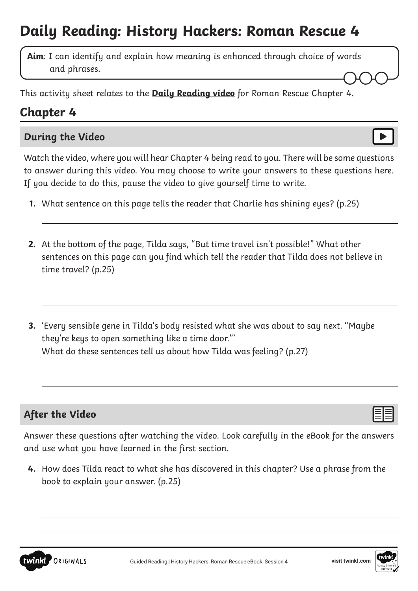# **Daily Reading: History Hackers: Roman Rescue 4**

**Aim**: I can identify and explain how meaning is enhanced through choice of words and phrases.

This activity sheet relates to the **[Daily Reading video](https://www.youtube.com/watch?v=ToR-wRZn0S8&feature=youtu.be)** for Roman Rescue Chapter 4.

## **Chapter 4**

#### **During the Video**

Watch the video, where you will hear Chapter 4 being read to you. There will be some questions to answer during this video. You may choose to write your answers to these questions here. If you decide to do this, pause the video to give yourself time to write.

- **1.** What sentence on this page tells the reader that Charlie has shining eyes? (p.25)
- **2.** At the bottom of the page, Tilda says, "But time travel isn't possible!" What other sentences on this page can you find which tell the reader that Tilda does not believe in time travel? (p.25)
- **3.** 'Every sensible gene in Tilda's body resisted what she was about to say next. "Maybe they're keys to open something like a time door."' What do these sentences tell us about how Tilda was feeling? (p.27)

### **After the Video**

 $\overline{a}$ 

Answer these questions after watching the video. Look carefully in the eBook for the answers and use what you have learned in the first section.

**4.** How does Tilda react to what she has discovered in this chapter? Use a phrase from the book to explain your answer. (p.25)

 $\overline{a}$ 



 $\overline{a}$